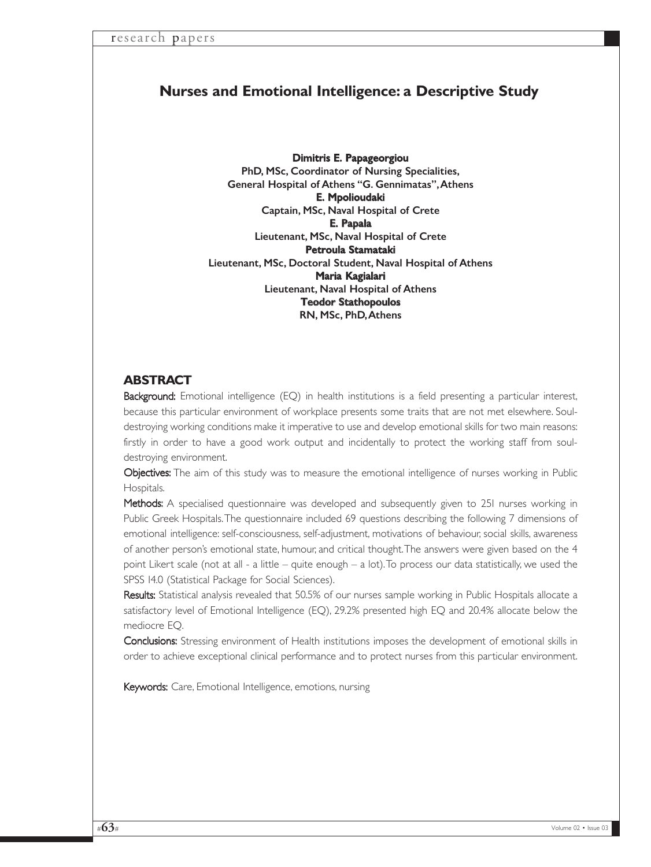# **Nurses and Emotional Intelligence: a Descriptive Study**

Dimitris E. Papageorgiou PhD, MSc, Coordinator of Nursing Specialities, General Hospital of Athens "G. Gennimatas",Athens E. Mpolioudaki Captain, MSc, Naval Hospital of Crete E. Papala Lieutenant, MSc, Naval Hospital of Crete Petroula Stamataki Lieutenant, MSc, Doctoral Student, Naval Hospital of Athens Maria Kagialari Lieutenant, Naval Hospital of Athens Teodor Stathopoulos RN, MSc, PhD,Athens

# **ABSTRACT**

Background: Emotional intelligence (EQ) in health institutions is a field presenting a particular interest, because this particular environment of workplace presents some traits that are not met elsewhere. Souldestroying working conditions make it imperative to use and develop emotional skills for two main reasons: firstly in order to have a good work output and incidentally to protect the working staff from souldestroying environment.

Objectives: The aim of this study was to measure the emotional intelligence of nurses working in Public Hospitals.

Methods: A specialised questionnaire was developed and subsequently given to 251 nurses working in Public Greek Hospitals.The questionnaire included 69 questions describing the following 7 dimensions of emotional intelligence: self-consciousness, self-adjustment, motivations of behaviour, social skills, awareness of another person's emotional state, humour, and critical thought.The answers were given based on the 4 point Likert scale (not at all - a little – quite enough – a lot).To process our data statistically, we used the SPSS 14.0 (Statistical Package for Social Sciences).

Results: Statistical analysis revealed that 50.5% of our nurses sample working in Public Hospitals allocate a satisfactory level of Emotional Intelligence (EQ), 29.2% presented high EQ and 20.4% allocate below the mediocre EQ.

Conclusions: Stressing environment of Health institutions imposes the development of emotional skills in order to achieve exceptional clinical performance and to protect nurses from this particular environment.

Keywords: Care, Emotional Intelligence, emotions, nursing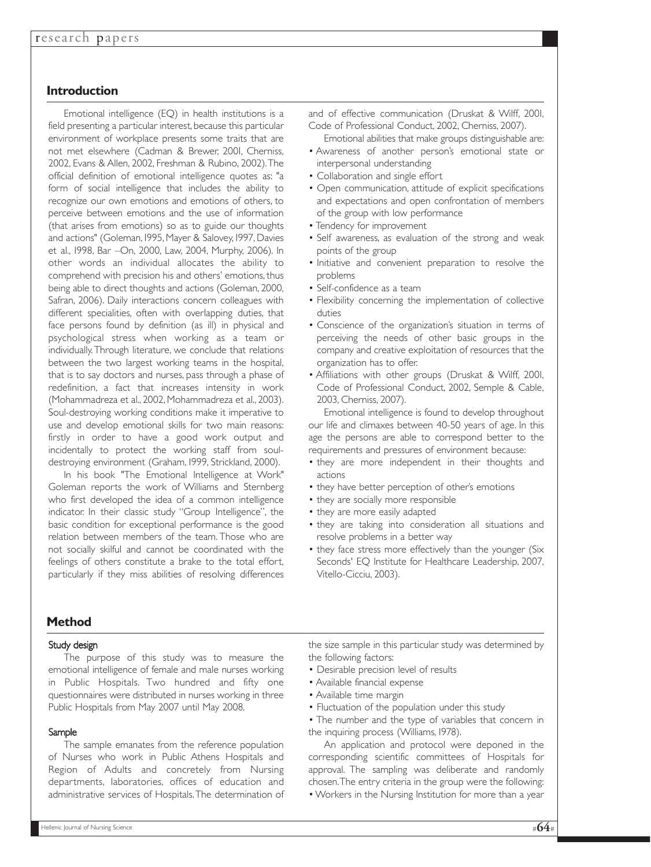# **Introduction**

Emotional intelligence (EQ) in health institutions is a field presenting a particular interest, because this particular environment of workplace presents some traits that are not met elsewhere (Cadman & Brewer, 2001, Cherniss, 2002, Evans & Allen, 2002, Freshman & Rubino, 2002).The official definition of emotional intelligence quotes as: "a form of social intelligence that includes the ability to recognize our own emotions and emotions of others, to perceive between emotions and the use of information (that arises from emotions) so as to guide our thoughts and actions" (Goleman, 1995, Mayer & Salovey, 1997, Davies et al., 1998, Bar –On, 2000, Law, 2004, Murphy, 2006). In other words an individual allocates the ability to comprehend with precision his and others' emotions, thus being able to direct thoughts and actions (Goleman, 2000, Safran, 2006). Daily interactions concern colleagues with different specialities, often with overlapping duties, that face persons found by definition (as ill) in physical and psychological stress when working as a team or individually.Through literature, we conclude that relations between the two largest working teams in the hospital, that is to say doctors and nurses, pass through a phase of redefinition, a fact that increases intensity in work (Mohammadreza et al., 2002, Mohammadreza et al., 2003). Soul-destroying working conditions make it imperative to use and develop emotional skills for two main reasons: firstly in order to have a good work output and incidentally to protect the working staff from souldestroying environment (Graham, 1999, Strickland, 2000).

In his book "The Emotional Intelligence at Work" Goleman reports the work of Williams and Sternberg who first developed the idea of a common intelligence indicator. In their classic study "Group Intelligence", the basic condition for exceptional performance is the good relation between members of the team. Those who are not socially skilful and cannot be coordinated with the feelings of others constitute a brake to the total effort, particularly if they miss abilities of resolving differences and of effective communication (Druskat & Wilff, 2001, Code of Professional Conduct, 2002, Cherniss, 2007).

- Emotional abilities that make groups distinguishable are: • Awareness of another person's emotional state or interpersonal understanding
- Collaboration and single effort
- Open communication, attitude of explicit specifications and expectations and open confrontation of members of the group with low performance
- Tendency for improvement
- Self awareness, as evaluation of the strong and weak points of the group
- Initiative and convenient preparation to resolve the problems
- Self-confidence as a team
- Flexibility concerning the implementation of collective duties
- Conscience of the organization's situation in terms of perceiving the needs of other basic groups in the company and creative exploitation of resources that the organization has to offer.
- Affiliations with other groups (Druskat & Wilff, 2001, Code of Professional Conduct, 2002, Semple & Cable, 2003, Cherniss, 2007).

Emotional intelligence is found to develop throughout our life and climaxes between 40-50 years of age. In this age the persons are able to correspond better to the requirements and pressures of environment because:

- they are more independent in their thoughts and actions
- they have better perception of other's emotions
- they are socially more responsible
- they are more easily adapted
- they are taking into consideration all situations and resolve problems in a better way
- they face stress more effectively than the younger (Six Seconds' EQ Institute for Healthcare Leadership, 2007, Vitello-Cicciu, 2003).

### **Method**

#### Study design

The purpose of this study was to measure the emotional intelligence of female and male nurses working in Public Hospitals. Two hundred and fifty one questionnaires were distributed in nurses working in three Public Hospitals from May 2007 until May 2008.

#### Sample

The sample emanates from the reference population of Nurses who work in Public Athens Hospitals and Region of Adults and concretely from Nursing departments, laboratories, offices of education and administrative services of Hospitals.The determination of the size sample in this particular study was determined by the following factors:

- Desirable precision level of results
- Available financial expense
- Available time margin
- Fluctuation of the population under this study

• The number and the type of variables that concern in the inquiring process (Williams, 1978).

An application and protocol were deponed in the corresponding scientific committees of Hospitals for approval. The sampling was deliberate and randomly chosen.The entry criteria in the group were the following:

• Workers in the Nursing Institution for more than a year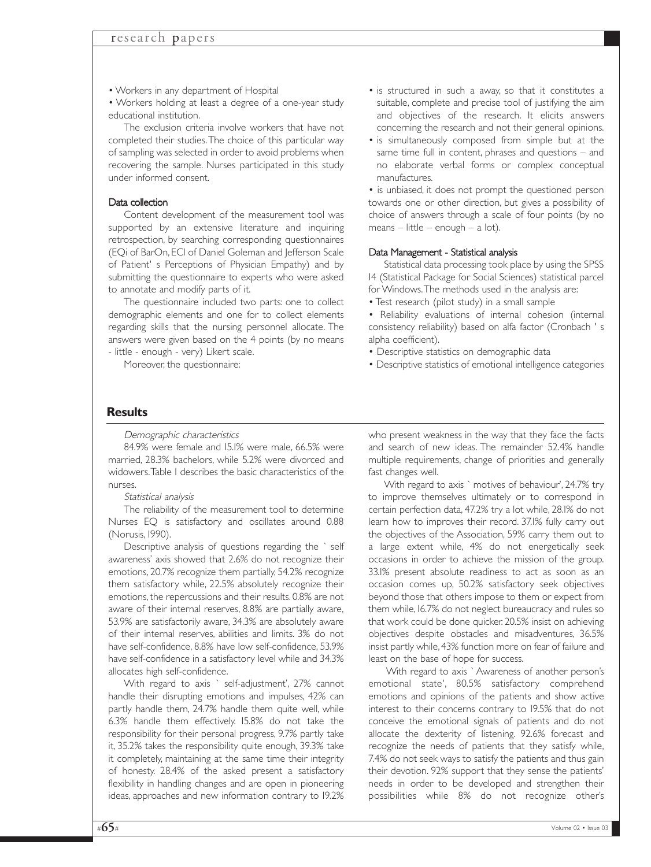• Workers in any department of Hospital

• Workers holding at least a degree of a one-year study educational institution.

The exclusion criteria involve workers that have not completed their studies.The choice of this particular way of sampling was selected in order to avoid problems when recovering the sample. Nurses participated in this study under informed consent.

#### Data collection

Content development of the measurement tool was supported by an extensive literature and inquiring retrospection, by searching corresponding questionnaires (EQi of BarOn, ECI of Daniel Goleman and Jefferson Scale of Patient' s Perceptions of Physician Empathy) and by submitting the questionnaire to experts who were asked to annotate and modify parts of it.

The questionnaire included two parts: one to collect demographic elements and one for to collect elements regarding skills that the nursing personnel allocate. The answers were given based on the 4 points (by no means - little - enough - very) Likert scale.

Moreover, the questionnaire:

- is structured in such a away, so that it constitutes a suitable, complete and precise tool of justifying the aim and objectives of the research. It elicits answers concerning the research and not their general opinions.
- is simultaneously composed from simple but at the same time full in content, phrases and questions – and no elaborate verbal forms or complex conceptual manufactures.

• is unbiased, it does not prompt the questioned person towards one or other direction, but gives a possibility of choice of answers through a scale of four points (by no means – little – enough – a lot).

#### Data Management - Statistical analysis

Statistical data processing took place by using the SPSS 14 (Statistical Package for Social Sciences) statistical parcel for Windows.The methods used in the analysis are:

• Test research (pilot study) in a small sample

• Reliability evaluations of internal cohesion (internal consistency reliability) based on alfa factor (Cronbach ' s alpha coefficient).

- Descriptive statistics on demographic data
- Descriptive statistics of emotional intelligence categories

### **Results**

Demographic characteristics

84.9% were female and 15.1% were male, 66.5% were married, 28.3% bachelors, while 5.2% were divorced and widowers.Table 1 describes the basic characteristics of the nurses.

Statistical analysis

The reliability of the measurement tool to determine Nurses EQ is satisfactory and oscillates around 0.88 (Norusis, 1990).

Descriptive analysis of questions regarding the ` self awareness' axis showed that 2.6% do not recognize their emotions, 20.7% recognize them partially, 54.2% recognize them satisfactory while, 22.5% absolutely recognize their emotions, the repercussions and their results. 0.8% are not aware of their internal reserves, 8.8% are partially aware, 53.9% are satisfactorily aware, 34.3% are absolutely aware of their internal reserves, abilities and limits. 3% do not have self-confidence, 8.8% have low self-confidence, 53.9% have self-confidence in a satisfactory level while and 34.3% allocates high self-confidence.

With regard to axis ` self-adjustment', 27% cannot handle their disrupting emotions and impulses, 42% can partly handle them, 24.7% handle them quite well, while 6.3% handle them effectively. 15.8% do not take the responsibility for their personal progress, 9.7% partly take it, 35.2% takes the responsibility quite enough, 39.3% take it completely, maintaining at the same time their integrity of honesty. 28.4% of the asked present a satisfactory flexibility in handling changes and are open in pioneering ideas, approaches and new information contrary to 19.2% who present weakness in the way that they face the facts and search of new ideas. The remainder 52.4% handle multiple requirements, change of priorities and generally fast changes well.

With regard to axis ` motives of behaviour', 24.7% try to improve themselves ultimately or to correspond in certain perfection data, 47.2% try a lot while, 28.1% do not learn how to improves their record. 37.1% fully carry out the objectives of the Association, 59% carry them out to a large extent while, 4% do not energetically seek occasions in order to achieve the mission of the group. 33.1% present absolute readiness to act as soon as an occasion comes up, 50.2% satisfactory seek objectives beyond those that others impose to them or expect from them while, 16.7% do not neglect bureaucracy and rules so that work could be done quicker. 20.5% insist on achieving objectives despite obstacles and misadventures, 36.5% insist partly while, 43% function more on fear of failure and least on the base of hope for success.

With regard to axis ` Awareness of another person's emotional state', 80.5% satisfactory comprehend emotions and opinions of the patients and show active interest to their concerns contrary to 19.5% that do not conceive the emotional signals of patients and do not allocate the dexterity of listening. 92.6% forecast and recognize the needs of patients that they satisfy while, 7.4% do not seek ways to satisfy the patients and thus gain their devotion. 92% support that they sense the patients' needs in order to be developed and strengthen their possibilities while 8% do not recognize other's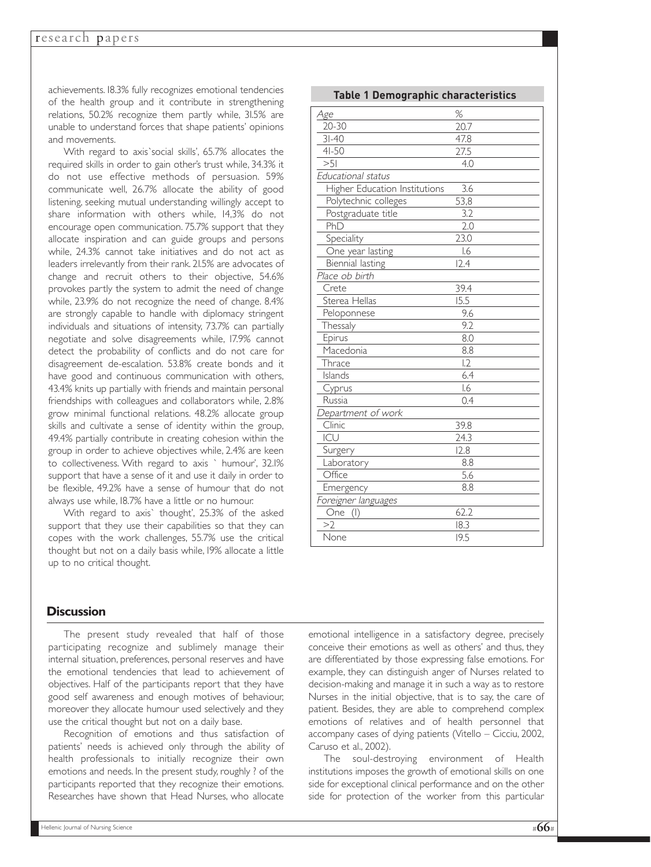achievements. 18.3% fully recognizes emotional tendencies of the health group and it contribute in strengthening relations, 50.2% recognize them partly while, 31.5% are unable to understand forces that shape patients' opinions and movements.

With regard to axis`social skills', 65.7% allocates the required skills in order to gain other's trust while, 34.3% it do not use effective methods of persuasion. 59% communicate well, 26.7% allocate the ability of good listening, seeking mutual understanding willingly accept to share information with others while, 14,3% do not encourage open communication. 75.7% support that they allocate inspiration and can guide groups and persons while, 24.3% cannot take initiatives and do not act as leaders irrelevantly from their rank. 21.5% are advocates of change and recruit others to their objective, 54.6% provokes partly the system to admit the need of change while, 23.9% do not recognize the need of change. 8.4% are strongly capable to handle with diplomacy stringent individuals and situations of intensity, 73.7% can partially negotiate and solve disagreements while, 17.9% cannot detect the probability of conflicts and do not care for disagreement de-escalation. 53.8% create bonds and it have good and continuous communication with others, 43.4% knits up partially with friends and maintain personal friendships with colleagues and collaborators while, 2.8% grow minimal functional relations. 48.2% allocate group skills and cultivate a sense of identity within the group, 49.4% partially contribute in creating cohesion within the group in order to achieve objectives while, 2.4% are keen to collectiveness. With regard to axis ` humour', 32.1% support that have a sense of it and use it daily in order to be flexible, 49.2% have a sense of humour that do not always use while, 18.7% have a little or no humour.

With regard to axis` thought', 25.3% of the asked support that they use their capabilities so that they can copes with the work challenges, 55.7% use the critical thought but not on a daily basis while, 19% allocate a little up to no critical thought.

| <b>Table 1 Demographic characteristics</b> |      |
|--------------------------------------------|------|
| Age                                        | %    |
| $20 - 30$                                  | 20.7 |
| $3I-40$                                    | 47.8 |
| $4I - 50$                                  | 27.5 |
| >5                                         | 4.0  |
| Educational status                         |      |
| Higher Education Institutions              | 3.6  |
| Polytechnic colleges                       | 53,8 |
| Postgraduate title                         | 3.2  |
| PhD                                        | 2.0  |
| Speciality                                 | 23.0 |
| One year lasting                           | 1.6  |
| Biennial lasting                           | 12.4 |
| Place ob birth                             |      |
| Crete                                      | 39.4 |
| Sterea Hellas                              | 15.5 |
| Peloponnese                                | 9.6  |
| Thessaly                                   | 9.2  |
| Epirus                                     | 8.0  |
| Macedonia                                  | 8.8  |
| Thrace                                     | 12   |
| Islands                                    | 6.4  |
| Cyprus                                     | 1.6  |
| <b>Russia</b>                              | 0.4  |
| Department of work                         |      |
| Clinic                                     | 39.8 |
| ICU                                        | 24.3 |
| Surgery                                    | 12.8 |
| Laboratory                                 | 8.8  |
| Office                                     | 5.6  |
| Emergency                                  | 8.8  |
| Foreigner languages                        |      |
| One (I)                                    | 62.2 |
| >2                                         | 18.3 |
| None                                       | 19.5 |

### **Discussion**

The present study revealed that half of those participating recognize and sublimely manage their internal situation, preferences, personal reserves and have the emotional tendencies that lead to achievement of objectives. Half of the participants report that they have good self awareness and enough motives of behaviour, moreover they allocate humour used selectively and they use the critical thought but not on a daily base.

Recognition of emotions and thus satisfaction of patients' needs is achieved only through the ability of health professionals to initially recognize their own emotions and needs. In the present study, roughly ? of the participants reported that they recognize their emotions. Researches have shown that Head Nurses, who allocate

emotional intelligence in a satisfactory degree, precisely conceive their emotions as well as others' and thus, they are differentiated by those expressing false emotions. For example, they can distinguish anger of Nurses related to decision-making and manage it in such a way as to restore Nurses in the initial objective, that is to say, the care of patient. Besides, they are able to comprehend complex emotions of relatives and of health personnel that accompany cases of dying patients (Vitello – Cicciu, 2002, Caruso et al., 2002).

The soul-destroying environment of Health institutions imposes the growth of emotional skills on one side for exceptional clinical performance and on the other side for protection of the worker from this particular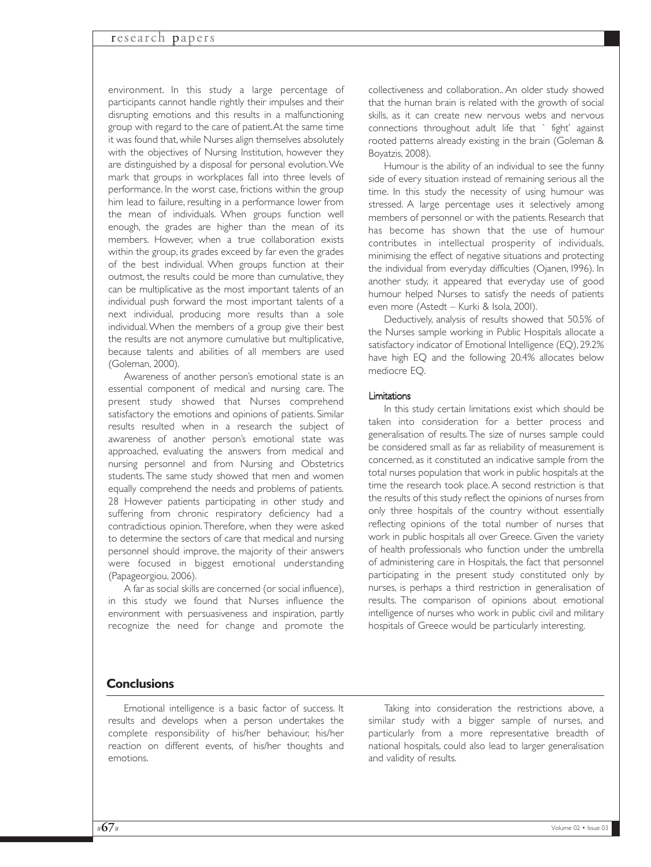### research papers

environment. In this study a large percentage of participants cannot handle rightly their impulses and their disrupting emotions and this results in a malfunctioning group with regard to the care of patient.At the same time it was found that, while Nurses align themselves absolutely with the objectives of Nursing Institution, however they are distinguished by a disposal for personal evolution.We mark that groups in workplaces fall into three levels of performance. In the worst case, frictions within the group him lead to failure, resulting in a performance lower from the mean of individuals. When groups function well enough, the grades are higher than the mean of its members. However, when a true collaboration exists within the group, its grades exceed by far even the grades of the best individual. When groups function at their outmost, the results could be more than cumulative, they can be multiplicative as the most important talents of an individual push forward the most important talents of a next individual, producing more results than a sole individual.When the members of a group give their best the results are not anymore cumulative but multiplicative, because talents and abilities of all members are used (Goleman, 2000).

Awareness of another person's emotional state is an essential component of medical and nursing care. The present study showed that Nurses comprehend satisfactory the emotions and opinions of patients. Similar results resulted when in a research the subject of awareness of another person's emotional state was approached, evaluating the answers from medical and nursing personnel and from Nursing and Obstetrics students. The same study showed that men and women equally comprehend the needs and problems of patients. 28 However patients participating in other study and suffering from chronic respiratory deficiency had a contradictious opinion. Therefore, when they were asked to determine the sectors of care that medical and nursing personnel should improve, the majority of their answers were focused in biggest emotional understanding (Papageorgiou, 2006).

A far as social skills are concerned (or social influence), in this study we found that Nurses influence the environment with persuasiveness and inspiration, partly recognize the need for change and promote the collectiveness and collaboration.. An older study showed that the human brain is related with the growth of social skills, as it can create new nervous webs and nervous connections throughout adult life that ` fight' against rooted patterns already existing in the brain (Goleman & Boyatzis, 2008).

Humour is the ability of an individual to see the funny side of every situation instead of remaining serious all the time. In this study the necessity of using humour was stressed. A large percentage uses it selectively among members of personnel or with the patients. Research that has become has shown that the use of humour contributes in intellectual prosperity of individuals, minimising the effect of negative situations and protecting the individual from everyday difficulties (Ojanen, 1996). In another study, it appeared that everyday use of good humour helped Nurses to satisfy the needs of patients even more (Astedt – Kurki & Isola, 2001).

Deductively, analysis of results showed that 50.5% of the Nurses sample working in Public Hospitals allocate a satisfactory indicator of Emotional Intelligence (EQ), 29.2% have high EQ and the following 20.4% allocates below mediocre EQ.

#### Limitations

In this study certain limitations exist which should be taken into consideration for a better process and generalisation of results. The size of nurses sample could be considered small as far as reliability of measurement is concerned, as it constituted an indicative sample from the total nurses population that work in public hospitals at the time the research took place.A second restriction is that the results of this study reflect the opinions of nurses from only three hospitals of the country without essentially reflecting opinions of the total number of nurses that work in public hospitals all over Greece. Given the variety of health professionals who function under the umbrella of administering care in Hospitals, the fact that personnel participating in the present study constituted only by nurses, is perhaps a third restriction in generalisation of results. The comparison of opinions about emotional intelligence of nurses who work in public civil and military hospitals of Greece would be particularly interesting.

### **Conclusions**

Emotional intelligence is a basic factor of success. It results and develops when a person undertakes the complete responsibility of his/her behaviour, his/her reaction on different events, of his/her thoughts and emotions.

Taking into consideration the restrictions above, a similar study with a bigger sample of nurses, and particularly from a more representative breadth of national hospitals, could also lead to larger generalisation and validity of results.